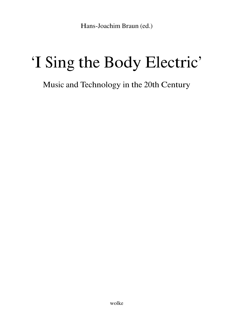Hans-Joachim Braun (ed.)

## 'I Sing the Body Electric'

## Music and Technology in the 20th Century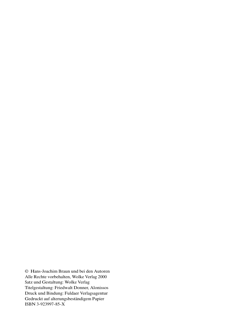© Hans-Joachim Braun und bei den Autoren Alle Rechte vorbehalten, Wolke Verlag 2000 Satz und Gestaltung: Wolke Verlag Titelgestaltung: Friedwalt Donner, Alonissos Druck und Bindung: Fuldaer Verlagsagentur Gedruckt auf alterungsbeständigem Papier ISBN 3-923997-85-X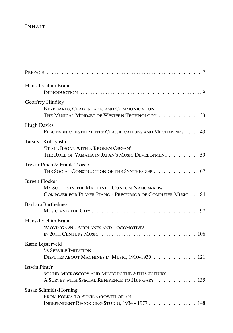## **INHALT**

| Hans-Joachim Braun                                                                                                             |
|--------------------------------------------------------------------------------------------------------------------------------|
| Geoffrey Hindley<br>KEYBOARDS, CRANKSHAFTS AND COMMUNICATION:<br>THE MUSICAL MINDSET OF WESTERN TECHNOLOGY  33                 |
| <b>Hugh Davies</b><br>ELECTRONIC INSTRUMENTS: CLASSIFICATIONS AND MECHANISMS  43                                               |
| Tatsuya Kobayashi<br>'IT ALL BEGAN WITH A BROKEN ORGAN'.<br>THE ROLE OF YAMAHA IN JAPAN'S MUSIC DEVELOPMENT  59                |
| Trevor Pinch & Frank Trocco                                                                                                    |
| Jürgen Hocker<br>MY SOUL IS IN THE MACHINE - CONLON NANCARROW -<br>COMPOSER FOR PLAYER PIANO - PRECURSOR OF COMPUTER MUSIC  84 |
| <b>Barbara Barthelmes</b>                                                                                                      |
| Hans-Joachim Braun<br>'MOVING ON': AIRPLANES AND LOCOMOTIVES                                                                   |
| Karin Bijsterveld<br>'A SERVILE IMITATION':<br>DISPUTES ABOUT MACHINES IN MUSIC, 1910-1930  121                                |
| István Pintér                                                                                                                  |
| SOUND MICROSCOPY AND MUSIC IN THE 20TH CENTURY.<br>A SURVEY WITH SPECIAL REFERENCE TO HUNGARY  135                             |
| Susan Schmidt-Horning<br>FROM POLKA TO PUNK: GROWTH OF AN<br>INDEPENDENT RECORDING STUDIO, 1934 - 1977  148                    |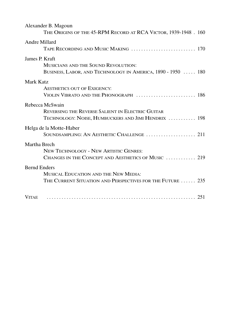| Alexander B. Magoun<br>THE ORIGINS OF THE 45-RPM RECORD AT RCA VICTOR, 1939-1948. 160                   |  |
|---------------------------------------------------------------------------------------------------------|--|
| Andre Millard<br>TAPE RECORDING AND MUSIC MAKING  170                                                   |  |
| James P. Kraft                                                                                          |  |
| MUSICIANS AND THE SOUND REVOLUTION:<br>BUSINESS, LABOR, AND TECHNOLOGY IN AMERICA, 1890 - 1950  180     |  |
| Mark Katz                                                                                               |  |
| <b>AESTHETICS OUT OF EXIGENCY:</b><br>VIOLIN VIBRATO AND THE PHONOGRAPH  186                            |  |
| Rebecca McSwain                                                                                         |  |
| REVERSING THE REVERSE SALIENT IN ELECTRIC GUITAR<br>TECHNOLOGY: NOISE, HUMBUCKERS AND JIMI HENDRIX  198 |  |
| Helga de la Motte-Haber<br>SOUNDSAMPLING: AN AESTHETIC CHALLENGE  211                                   |  |
| Martha Brech                                                                                            |  |
| <b>NEW TECHNOLOGY - NEW ARTISTIC GENRES:</b><br>CHANGES IN THE CONCEPT AND AESTHETICS OF MUSIC  219     |  |
| <b>Bernd Enders</b>                                                                                     |  |
| MUSICAL EDUCATION AND THE NEW MEDIA:<br>THE CURRENT SITUATION AND PERSPECTIVES FOR THE FUTURE  235      |  |
| <b>VITAE</b>                                                                                            |  |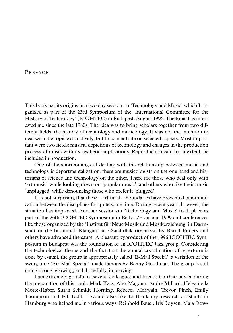## **PREFACE**

This book has its origins in a two day session on 'Technology and Music' which I organized as part of the 23rd Symposium of the 'International Committee for the History of Technology' (ICOHTEC) in Budapest, August 1996. The topic has interested me since the late 1980s. The idea was to bring scholars together from two different fields, the history of technology and musicology. It was not the intention to deal with the topic exhaustively, but to concentrate on selected aspects. Most important were two fields: musical depictions of technology and changes in the production process of music with its aesthetic implications. Reproduction can, to an extent, be included in production.

One of the shortcomings of dealing with the relationship between music and technology is departmentalization: there are musicologists on the one hand and historians of science and technology on the other. There are those who deal only with 'art music' while looking down on 'popular music', and others who like their music 'unplugged' while denouncing those who prefer it 'plugged'.

It is not surprising that these – artificial – boundaries have prevented communication between the disciplines for quite some time. During recent years, however, the situation has improved. Another session on 'Technology and Music' took place as part of the 26th ICOHTEC Symposium in Belfort/France in 1999 and conferences like those organized by the 'Institut für Neue Musik und Musikerziehung' in Darmstadt or the bi-annual 'Klangart' in Osnabrück organized by Bernd Enders and others have advanced the cause. A pleasant byproduct of the 1996 ICOHTEC Symposium in Budapest was the foundation of an ICOHTEC Jazz group. Considering the technological theme and the fact that the annual coordination of repertoire is done by e-mail, the group is appropriately called 'E-Mail Special', a variation of the swing tune 'Air Mail Special', made famous by Benny Goodman. The group is still going strong, growing, and, hopefully, improving.

I am extremely grateful to several colleagues and friends for their advice during the preparation of this book: Mark Katz, Alex Magoun, Andre Millard, Helga de la Motte-Haber, Susan Schmidt Horning, Rebecca McSwain, Trevor Pinch, Emily Thompson and Ed Todd. I would also like to thank my research assistants in Hamburg who helped me in various ways: Reinhold Bauer, Iris Boysen, Maja Dow